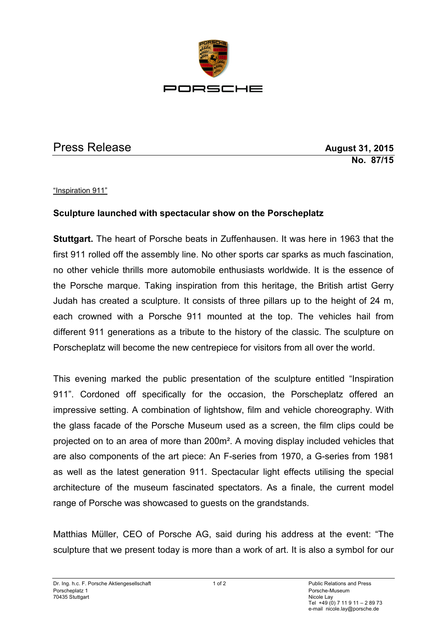

## Press Release **August 31, 2015**

**No. 87/15**

## "Inspiration 911"

## **Sculpture launched with spectacular show on the Porscheplatz**

**Stuttgart.** The heart of Porsche beats in Zuffenhausen. It was here in 1963 that the first 911 rolled off the assembly line. No other sports car sparks as much fascination, no other vehicle thrills more automobile enthusiasts worldwide. It is the essence of the Porsche marque. Taking inspiration from this heritage, the British artist Gerry Judah has created a sculpture. It consists of three pillars up to the height of 24 m, each crowned with a Porsche 911 mounted at the top. The vehicles hail from different 911 generations as a tribute to the history of the classic. The sculpture on Porscheplatz will become the new centrepiece for visitors from all over the world.

This evening marked the public presentation of the sculpture entitled "Inspiration 911". Cordoned off specifically for the occasion, the Porscheplatz offered an impressive setting. A combination of lightshow, film and vehicle choreography. With the glass facade of the Porsche Museum used as a screen, the film clips could be projected on to an area of more than 200m². A moving display included vehicles that are also components of the art piece: An F-series from 1970, a G-series from 1981 as well as the latest generation 911. Spectacular light effects utilising the special architecture of the museum fascinated spectators. As a finale, the current model range of Porsche was showcased to guests on the grandstands.

Matthias Müller, CEO of Porsche AG, said during his address at the event: "The sculpture that we present today is more than a work of art. It is also a symbol for our